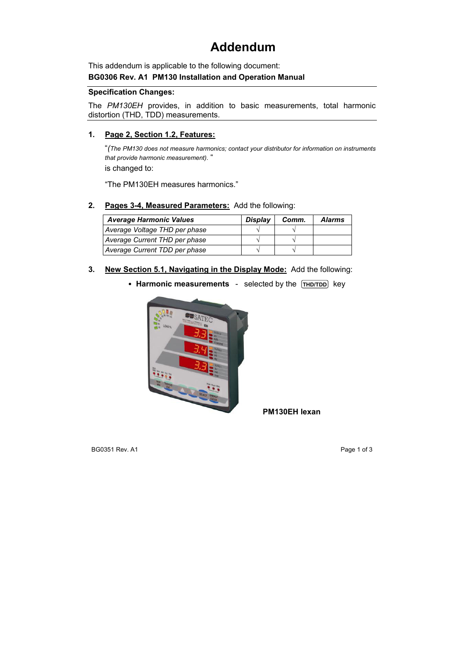# **Addendum**

This addendum is applicable to the following document:

### **BG0306 Rev. A1 PM130 Installation and Operation Manual**

#### **Specification Changes:**

The *PM130EH* provides, in addition to basic measurements, total harmonic distortion (THD, TDD) measurements.

## **1. Page 2, Section 1.2, Features:**

"*(The PM130 does not measure harmonics; contact your distributor for information on instruments that provide harmonic measurement)*. "

is changed to:

"The PM130EH measures harmonics."

## **2. Pages 3-4, Measured Parameters:** Add the following:

| <b>Average Harmonic Values</b> | <b>Display</b> | Comm. | <b>Alarms</b> |
|--------------------------------|----------------|-------|---------------|
| Average Voltage THD per phase  |                |       |               |
| Average Current THD per phase  |                |       |               |
| Average Current TDD per phase  |                |       |               |

#### **3. New Section 5.1, Navigating in the Display Mode:** Add the following:

• Harmonic measurements - selected by the **THD/TDD** key



**PM130EH lexan**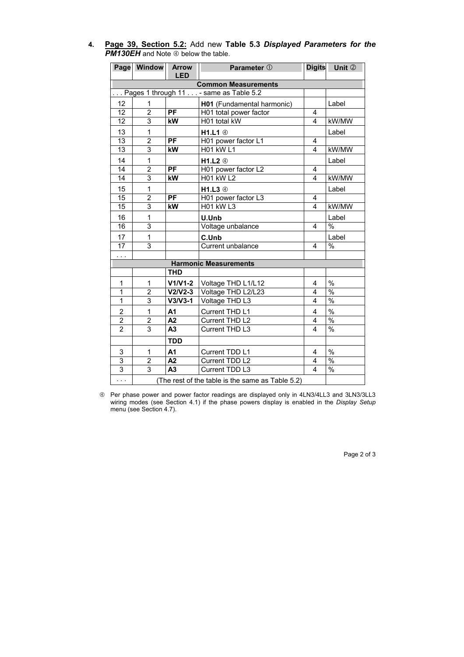|                                            |  |  |  | 4. Page 39, Section 5.2: Add new Table 5.3 Displayed Parameters for the |  |
|--------------------------------------------|--|--|--|-------------------------------------------------------------------------|--|
| <b>PM130EH</b> and Note 4 below the table. |  |  |  |                                                                         |  |

|                                         | Page Window                                      | <b>Arrow</b><br><b>LED</b>               | <b>Digits</b><br>Parameter 1 |   | Unit 2        |  |  |  |
|-----------------------------------------|--------------------------------------------------|------------------------------------------|------------------------------|---|---------------|--|--|--|
|                                         |                                                  |                                          |                              |   |               |  |  |  |
| <b>Common Measurements</b>              |                                                  |                                          |                              |   |               |  |  |  |
| Pages 1 through 11  - same as Table 5.2 |                                                  |                                          |                              |   |               |  |  |  |
| 12                                      | 1                                                |                                          | H01 (Fundamental harmonic)   |   | Label         |  |  |  |
| 12                                      | $\overline{2}$                                   | <b>PF</b>                                | H01 total power factor       | 4 |               |  |  |  |
| 12                                      | $\overline{3}$                                   | kW                                       | H01 total kW                 | 4 | kW/MW         |  |  |  |
| 13                                      | 1                                                |                                          | H1.L1 4                      |   | Label         |  |  |  |
| 13                                      | $\overline{2}$                                   | $\overline{PF}$                          | H01 power factor L1          | 4 |               |  |  |  |
| 13                                      | 3                                                | kW                                       | <b>H01 kW L1</b>             | 4 | kW/MW         |  |  |  |
| 14                                      | $\mathbf{1}$                                     |                                          | H1.L2 4                      |   | Label         |  |  |  |
| $\overline{14}$                         | $\overline{2}$                                   | <b>PF</b>                                | H01 power factor L2          | 4 |               |  |  |  |
| $\overline{14}$                         |                                                  | $\overline{3}$<br>kW<br><b>H01 kW L2</b> |                              |   | kW/MW         |  |  |  |
| 15                                      | $\mathbf{1}$                                     |                                          | H1.L3 4                      |   | Label         |  |  |  |
| 15                                      | $\overline{2}$                                   | $\overline{PF}$                          | H01 power factor L3          | 4 |               |  |  |  |
| 15                                      | 3                                                | kW                                       | <b>H01 kW L3</b>             | 4 | kW/MW         |  |  |  |
| 16                                      | 1                                                |                                          | U.Unb                        |   | Label         |  |  |  |
| $\overline{16}$                         | $\overline{3}$                                   |                                          | Voltage unbalance            | 4 | $\frac{1}{2}$ |  |  |  |
| 17                                      | 1                                                |                                          | C.Unb                        |   | Label         |  |  |  |
| $\overline{17}$                         | $\overline{3}$                                   |                                          | Current unbalance            | 4 | $\%$          |  |  |  |
| .                                       |                                                  |                                          |                              |   |               |  |  |  |
|                                         |                                                  |                                          | <b>Harmonic Measurements</b> |   |               |  |  |  |
|                                         |                                                  | <b>THD</b>                               |                              |   |               |  |  |  |
| $\mathbf{1}$                            | 1                                                | $V1/V1-2$                                | Voltage THD L1/L12           | 4 | $\%$          |  |  |  |
| 1                                       | $\overline{2}$                                   | $V2/V2-3$                                | Voltage THD L2/L23           | 4 | $\%$          |  |  |  |
| 1                                       | 3                                                | $V3/V3-1$                                | Voltage THD L3               | 4 | $\frac{1}{2}$ |  |  |  |
| $\overline{2}$                          | 1                                                | A1                                       | Current THD L1               | 4 | $\%$          |  |  |  |
| $\overline{2}$                          | $\overline{2}$                                   | A <sub>2</sub>                           | Current THD L2               | 4 | $\frac{0}{6}$ |  |  |  |
| $\overline{2}$                          | $\overline{3}$                                   | $\overline{A3}$                          | Current THD L3               | 4 | $\frac{0}{6}$ |  |  |  |
|                                         |                                                  | <b>TDD</b>                               |                              |   |               |  |  |  |
| 3                                       | $\mathbf{1}$                                     | A1                                       | Current TDD L1               | 4 | $\%$          |  |  |  |
| $\overline{3}$                          | $\overline{2}$                                   | $\overline{A2}$                          | Current TDD L2               | 4 | $\frac{0}{0}$ |  |  |  |
| $\overline{3}$                          | $\overline{3}$                                   | $\overline{A3}$                          | Current TDD L3               | 4 | $\frac{0}{0}$ |  |  |  |
| $\cdots$                                | (The rest of the table is the same as Table 5.2) |                                          |                              |   |               |  |  |  |

f Per phase power and power factor readings are displayed only in 4LN3/4LL3 and 3LN3/3LL3 wiring modes (see Section 4.1) if the phase powers display is enabled in the *Display Setup*  menu (see Section 4.7).